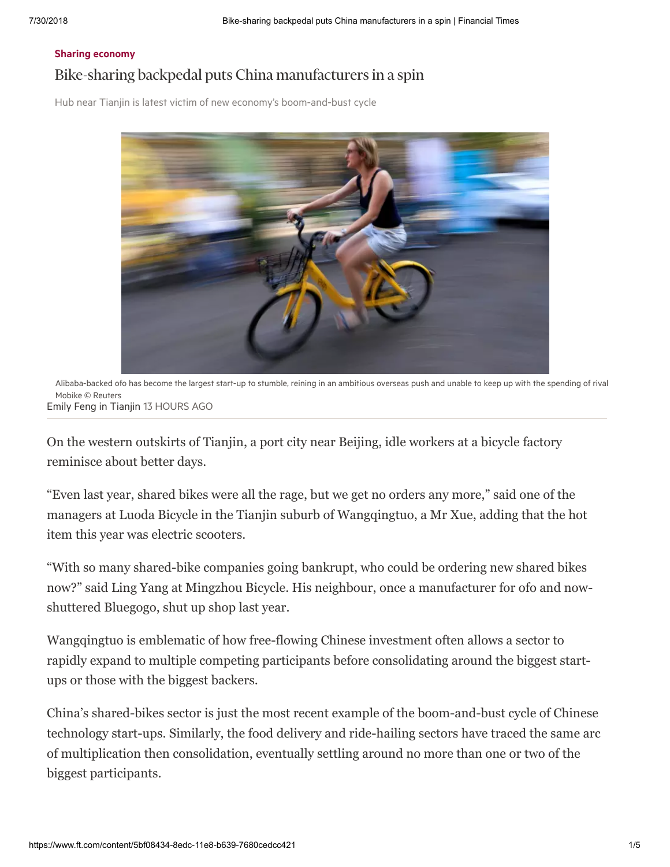### Sharing [economy](https://www.ft.com/stream/7371d03b-e693-427e-b59c-e592da025e6f) Bike-sharing backpedal puts China manufacturers in a spin

Hub near Tianjin is latest victim of new economy's boom-and-bust cycle



Alibaba-backed ofo has become the largest start-up to stumble, reining in an ambitious overseas push and unable to keep up with the spending of rival Mobike © Reuters [Emily](https://www.ft.com/stream/3b7aef75-5d4f-3873-b156-8644e8eab910) Feng in Tianjin 13 HOURS AGO

On the western outskirts of Tianjin, a port city near Beijing, idle workers at a bicycle factory reminisce about better days.

"Even last year, shared bikes were all the rage, but we get no orders any more," said one of the managers at Luoda Bicycle in the Tianjin suburb of Wangqingtuo, a Mr Xue, adding that the hot item this year was electric scooters.

"With so many shared-bike companies going bankrupt, who could be ordering new shared bikes now?" said Ling Yang at Mingzhou Bicycle. His neighbour, once a manufacturer for ofo and nowshuttered Bluegogo, shut up shop last year.

Wangqingtuo is emblematic of how free-flowing Chinese investment often allows a sector to rapidly expand to multiple competing participants before consolidating around the biggest startups or those with the biggest backers.

China's shared-bikes sector is just the most recent example of the boom-and-bust cycle of Chinese technology start-ups. Similarly, the food delivery and ride-hailing sectors have traced the same arc of multiplication then consolidation, eventually settling around no more than one or two of the biggest participants.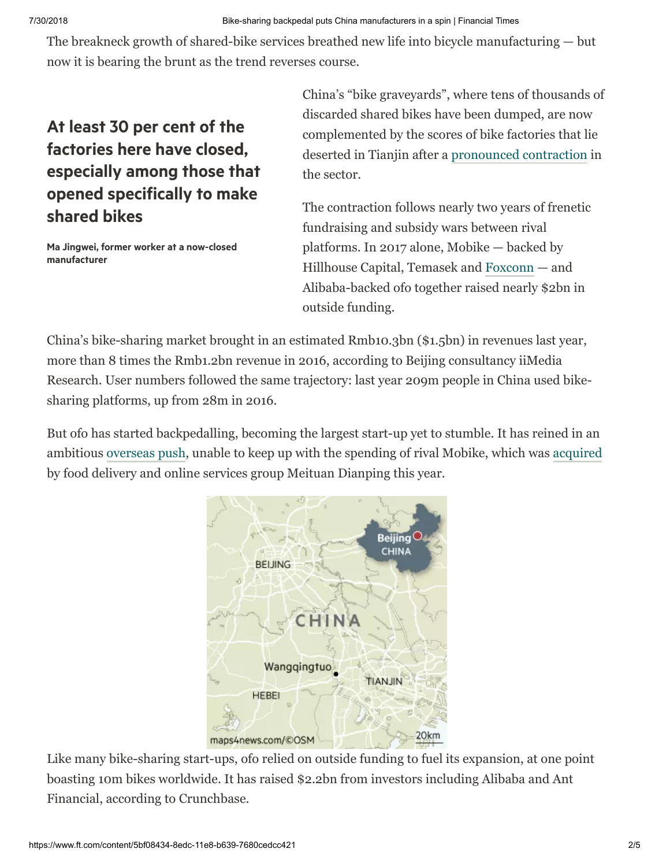The breakneck growth of shared-bike services breathed new life into bicycle manufacturing — but now it is bearing the brunt as the trend reverses course.

# At least 30 per cent of the factories here have closed, especially among those that opened specifically to make shared bikes

Ma Jingwei, former worker at a now-closed manufacturer

China's "bike graveyards", where tens of thousands of discarded shared bikes have been dumped, are now complemented by the scores of bike factories that lie deserted in Tianjin after a [pronounced contraction](https://www.ft.com/content/cc1107e8-cb5f-11e7-ab18-7a9fb7d6163e) in the sector.

The contraction follows nearly two years of frenetic fundraising and subsidy wars between rival platforms. In 2017 alone, Mobike — backed by Hillhouse Capital, Temasek and [Foxconn](http://markets.ft.com/data/equities/tearsheet/summary?s=BBG000BHCGS0) — and Alibaba-backed ofo together raised nearly \$2bn in outside funding.

China's bike-sharing market brought in an estimated Rmb10.3bn (\$1.5bn) in revenues last year, more than 8 times the Rmb1.2bn revenue in 2016, according to Beijing consultancy iiMedia Research. User numbers followed the same trajectory: last year 209m people in China used bikesharing platforms, up from 28m in 2016.

But ofo has started backpedalling, becoming the largest start-up yet to stumble. It has reined in an ambitious [overseas push](https://www.ft.com/content/918dfd52-8aee-11e8-b18d-0181731a0340), unable to keep up with the spending of rival Mobike, which was [acquired](https://www.ft.com/content/fb10173a-37b8-11e8-8eee-e06bde01c544) by food delivery and online services group Meituan Dianping this year.



Like many bike-sharing start-ups, ofo relied on outside funding to fuel its expansion, at one point boasting 10m bikes worldwide. It has raised \$2.2bn from investors including Alibaba and Ant Financial, according to Crunchbase.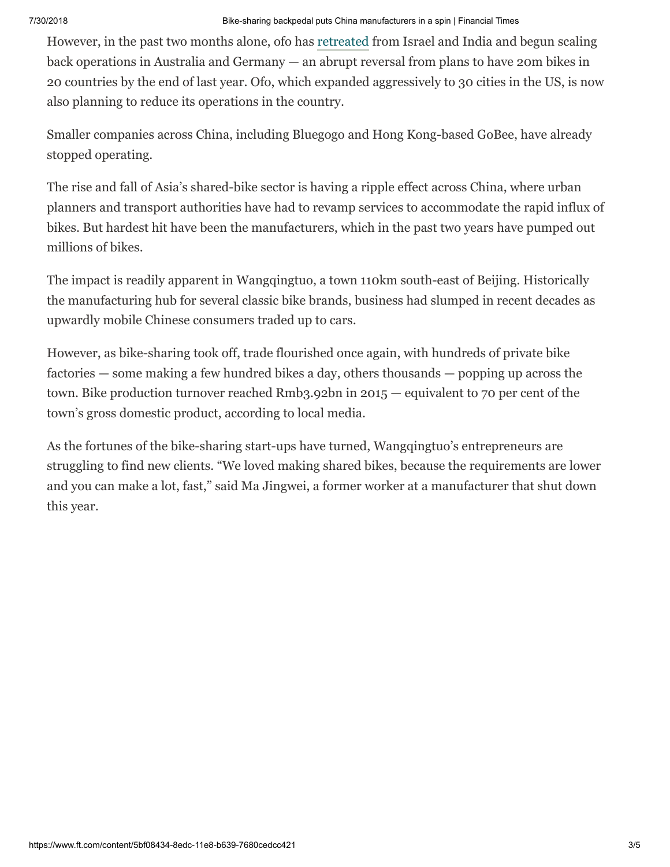However, in the past two months alone, ofo has [retreated](https://www.ft.com/content/918dfd52-8aee-11e8-b18d-0181731a0340) from Israel and India and begun scaling back operations in Australia and Germany — an abrupt reversal from plans to have 20m bikes in 20 countries by the end of last year. Ofo, which expanded aggressively to 30 cities in the US, is now also planning to reduce its operations in the country.

Smaller companies across China, including Bluegogo and Hong Kong-based GoBee, have already stopped operating.

The rise and fall of Asia's shared-bike sector is having a ripple effect across China, where urban planners and transport authorities have had to revamp services to accommodate the rapid influx of bikes. But hardest hit have been the manufacturers, which in the past two years have pumped out millions of bikes.

The impact is readily apparent in Wangqingtuo, a town 110km south-east of Beijing. Historically the manufacturing hub for several classic bike brands, business had slumped in recent decades as upwardly mobile Chinese consumers traded up to cars.

However, as bike-sharing took off, trade flourished once again, with hundreds of private bike factories — some making a few hundred bikes a day, others thousands — popping up across the town. Bike production turnover reached Rmb3.92bn in 2015 — equivalent to 70 per cent of the town's gross domestic product, according to local media.

As the fortunes of the bike-sharing start-ups have turned, Wangqingtuo's entrepreneurs are struggling to find new clients. "We loved making shared bikes, because the requirements are lower and you can make a lot, fast," said Ma Jingwei, a former worker at a manufacturer that shut down this year.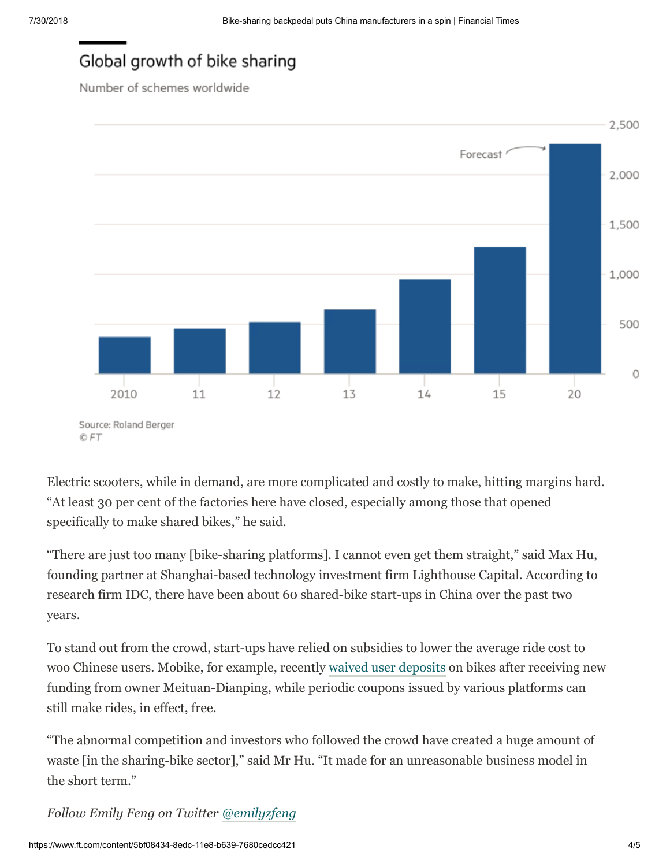## Global growth of bike sharing

Number of schemes worldwide



<sup>©</sup> FT

Electric scooters, while in demand, are more complicated and costly to make, hitting margins hard. "At least 30 per cent of the factories here have closed, especially among those that opened specifically to make shared bikes," he said.

"There are just too many [bike-sharing platforms]. I cannot even get them straight," said Max Hu, founding partner at Shanghai-based technology investment firm Lighthouse Capital. According to research firm IDC, there have been about 60 shared-bike start-ups in China over the past two years.

To stand out from the crowd, start-ups have relied on subsidies to lower the average ride cost to woo Chinese users. Mobike, for example, recently [waived user deposits](https://www.ft.com/content/ac332862-7ff9-11e8-bc55-50daf11b720d) on bikes after receiving new funding from owner Meituan-Dianping, while periodic coupons issued by various platforms can still make rides, in effect, free.

"The abnormal competition and investors who followed the crowd have created a huge amount of waste [in the sharing-bike sector]," said Mr Hu. "It made for an unreasonable business model in the short term."

*Follow Emily Feng on Twitter [@emilyzfeng](https://twitter.com/i/notifications)*